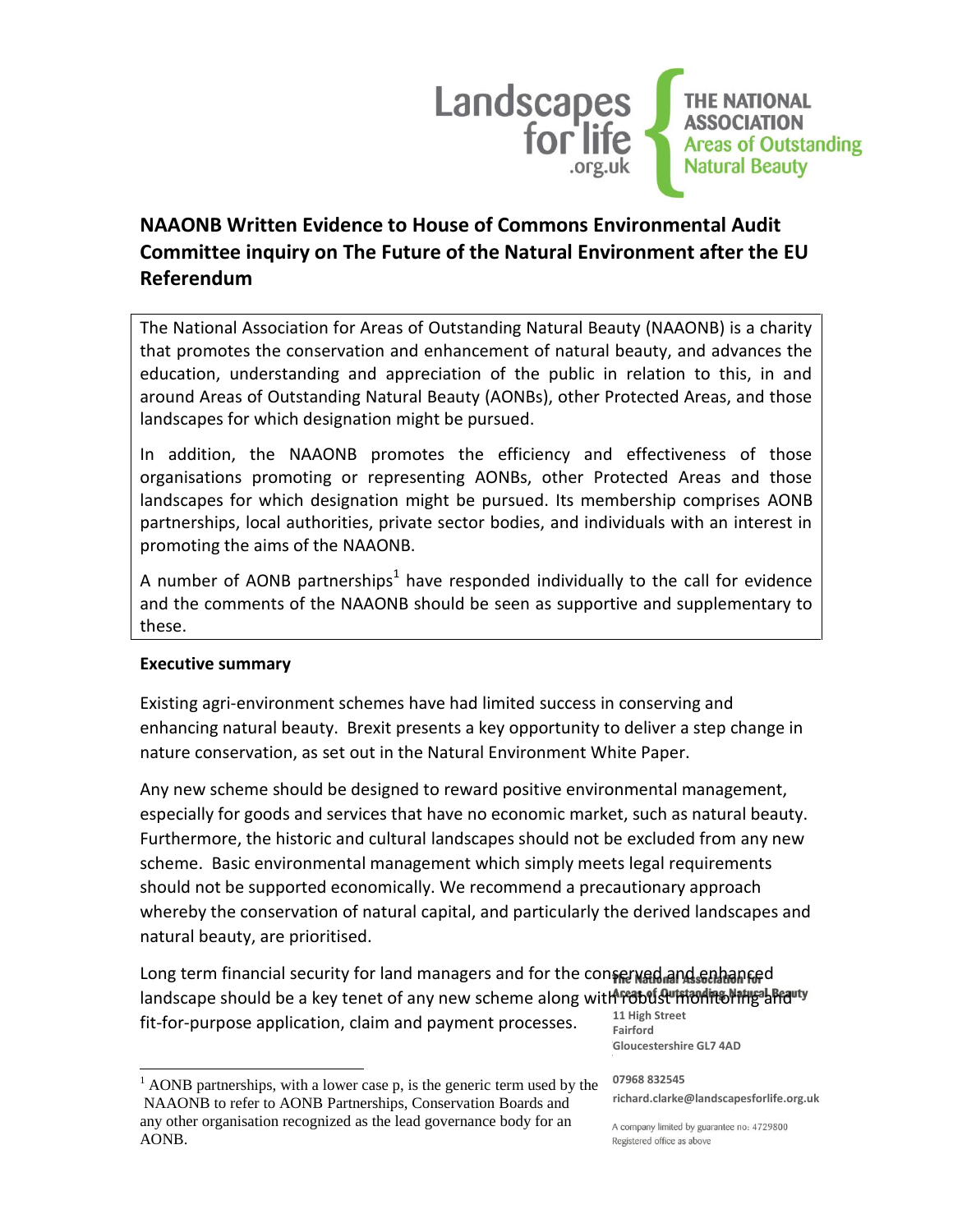

# **NAAONB Written Evidence to House of Commons Environmental Audit Committee inquiry on The Future of the Natural Environment after the EU Referendum**

The National Association for Areas of Outstanding Natural Beauty (NAAONB) is a charity that promotes the conservation and enhancement of natural beauty, and advances the education, understanding and appreciation of the public in relation to this, in and around Areas of Outstanding Natural Beauty (AONBs), other Protected Areas, and those landscapes for which designation might be pursued.

In addition, the NAAONB promotes the efficiency and effectiveness of those organisations promoting or representing AONBs, other Protected Areas and those landscapes for which designation might be pursued. Its membership comprises AONB partnerships, local authorities, private sector bodies, and individuals with an interest in promoting the aims of the NAAONB.

A number of AONB partnerships<sup>1</sup> have responded individually to the call for evidence and the comments of the NAAONB should be seen as supportive and supplementary to these.

#### **Executive summary**

l

Existing agri-environment schemes have had limited success in conserving and enhancing natural beauty. Brexit presents a key opportunity to deliver a step change in nature conservation, as set out in the Natural Environment White Paper.

Any new scheme should be designed to reward positive environmental management, especially for goods and services that have no economic market, such as natural beauty. Furthermore, the historic and cultural landscapes should not be excluded from any new scheme. Basic environmental management which simply meets legal requirements should not be supported economically. We recommend a precautionary approach whereby the conservation of natural capital, and particularly the derived landscapes and natural beauty, are prioritised.

**11 High Street** Long term financial security for land managers and for the conserved and senhanced landscape should be a key tenet of any new scheme along with robust inonitoring and w fit-for-purpose application, claim and payment processes.

**Fairford Gloucestershire GL7 4AD**

## **07968 832545**

**richard.clarke@landscapesforlife.org.uk**

A company limited by guarantee no: 4729800 Registered office as above

 $<sup>1</sup>$  AONB partnerships, with a lower case p, is the generic term used by the</sup> NAAONB to refer to AONB Partnerships, Conservation Boards and any other organisation recognized as the lead governance body for an AONB.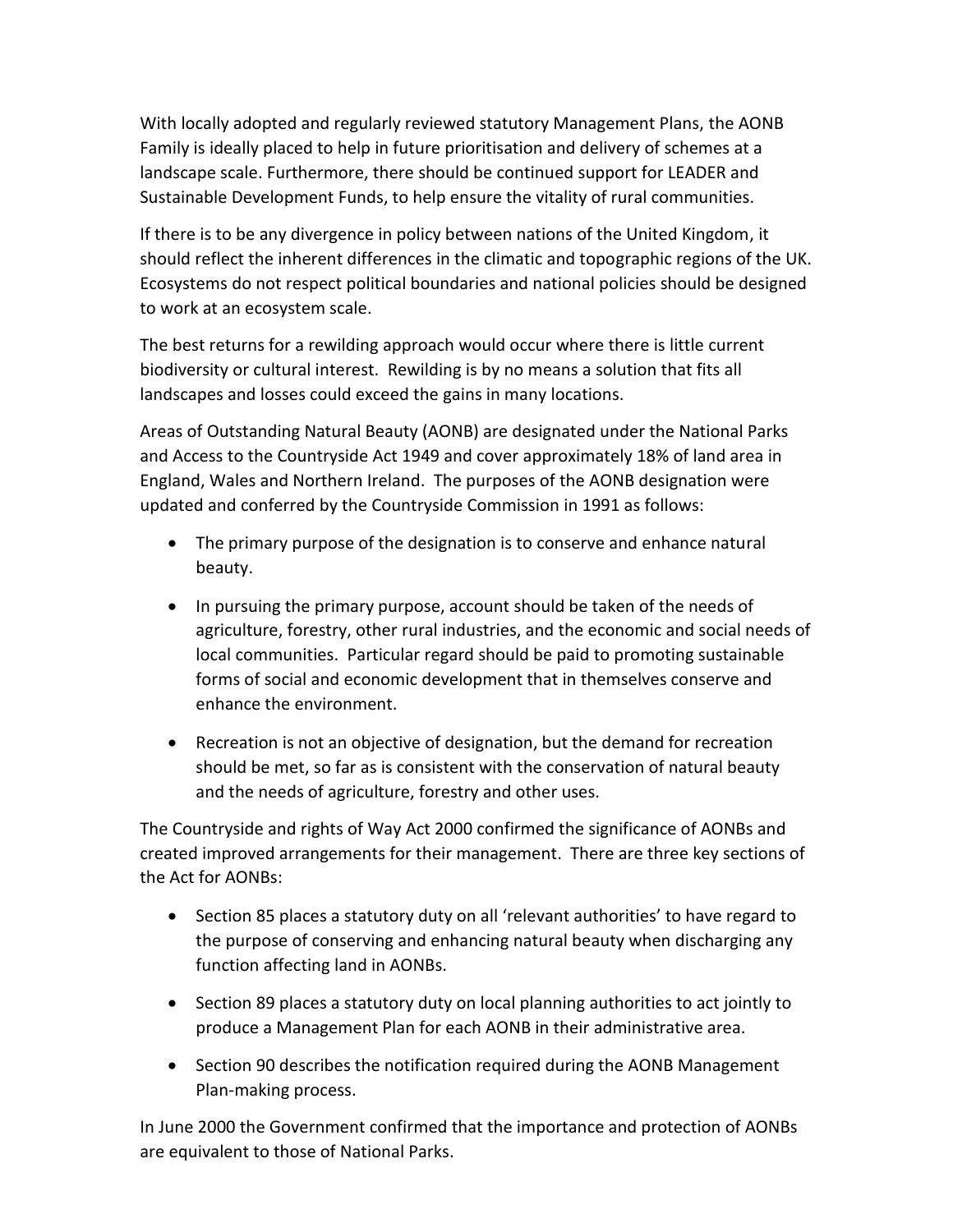With locally adopted and regularly reviewed statutory Management Plans, the AONB Family is ideally placed to help in future prioritisation and delivery of schemes at a landscape scale. Furthermore, there should be continued support for LEADER and Sustainable Development Funds, to help ensure the vitality of rural communities.

If there is to be any divergence in policy between nations of the United Kingdom, it should reflect the inherent differences in the climatic and topographic regions of the UK. Ecosystems do not respect political boundaries and national policies should be designed to work at an ecosystem scale.

The best returns for a rewilding approach would occur where there is little current biodiversity or cultural interest. Rewilding is by no means a solution that fits all landscapes and losses could exceed the gains in many locations.

Areas of Outstanding Natural Beauty (AONB) are designated under the National Parks and Access to the Countryside Act 1949 and cover approximately 18% of land area in England, Wales and Northern Ireland. The purposes of the AONB designation were updated and conferred by the Countryside Commission in 1991 as follows:

- The primary purpose of the designation is to conserve and enhance natural beauty.
- In pursuing the primary purpose, account should be taken of the needs of agriculture, forestry, other rural industries, and the economic and social needs of local communities. Particular regard should be paid to promoting sustainable forms of social and economic development that in themselves conserve and enhance the environment.
- Recreation is not an objective of designation, but the demand for recreation should be met, so far as is consistent with the conservation of natural beauty and the needs of agriculture, forestry and other uses.

The Countryside and rights of Way Act 2000 confirmed the significance of AONBs and created improved arrangements for their management. There are three key sections of the Act for AONBs:

- Section 85 places a statutory duty on all 'relevant authorities' to have regard to the purpose of conserving and enhancing natural beauty when discharging any function affecting land in AONBs.
- Section 89 places a statutory duty on local planning authorities to act jointly to produce a Management Plan for each AONB in their administrative area.
- Section 90 describes the notification required during the AONB Management Plan-making process.

In June 2000 the Government confirmed that the importance and protection of AONBs are equivalent to those of National Parks.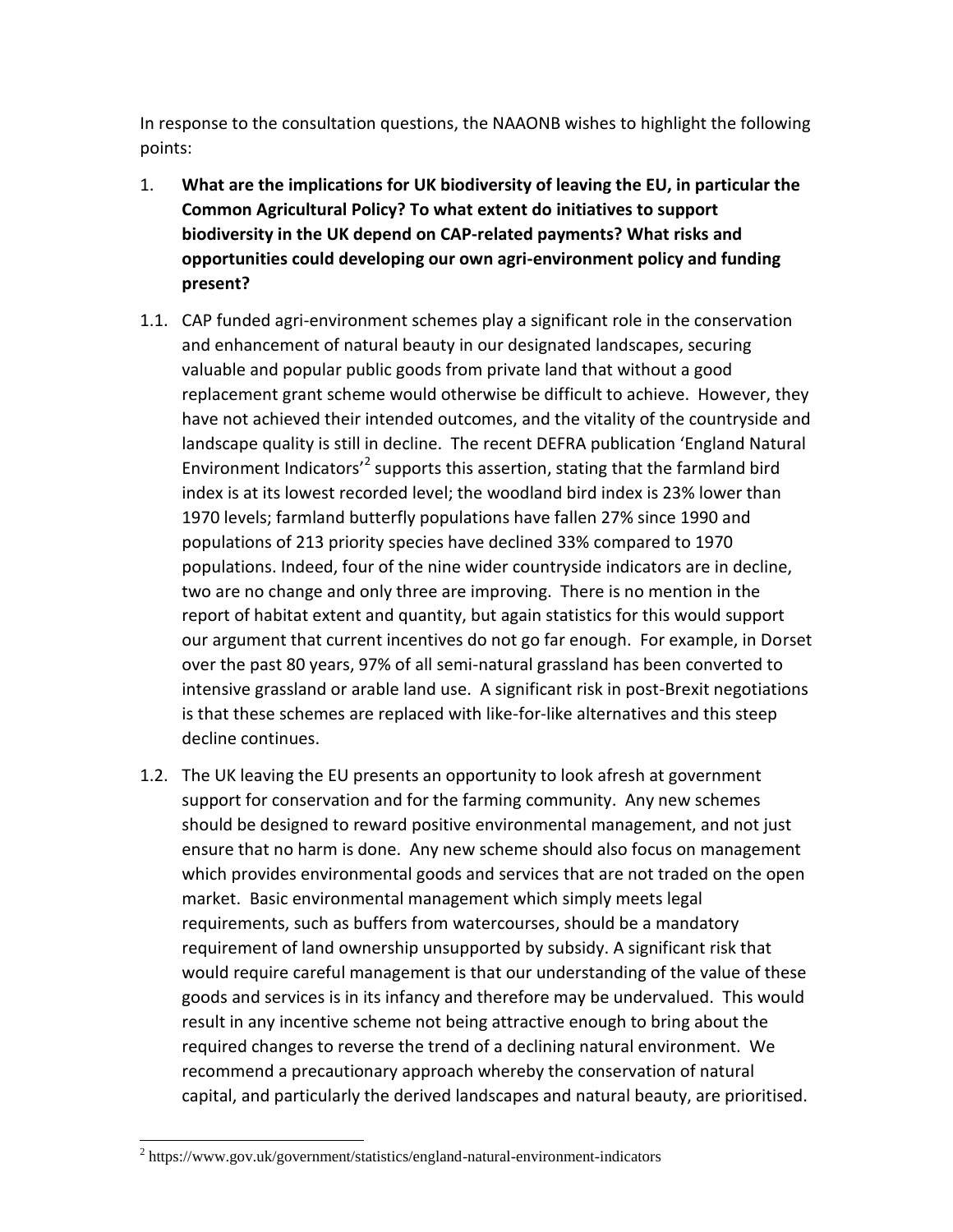In response to the consultation questions, the NAAONB wishes to highlight the following points:

- 1. **What are the implications for UK biodiversity of leaving the EU, in particular the Common Agricultural Policy? To what extent do initiatives to support biodiversity in the UK depend on CAP-related payments? What risks and opportunities could developing our own agri-environment policy and funding present?**
- 1.1. CAP funded agri-environment schemes play a significant role in the conservation and enhancement of natural beauty in our designated landscapes, securing valuable and popular public goods from private land that without a good replacement grant scheme would otherwise be difficult to achieve. However, they have not achieved their intended outcomes, and the vitality of the countryside and landscape quality is still in decline. The recent DEFRA publication 'England Natural Environment Indicators<sup>,2</sup> supports this assertion, stating that the farmland bird index is at its lowest recorded level; the woodland bird index is 23% lower than 1970 levels; farmland butterfly populations have fallen 27% since 1990 and populations of 213 priority species have declined 33% compared to 1970 populations. Indeed, four of the nine wider countryside indicators are in decline, two are no change and only three are improving. There is no mention in the report of habitat extent and quantity, but again statistics for this would support our argument that current incentives do not go far enough. For example, in Dorset over the past 80 years, 97% of all semi-natural grassland has been converted to intensive grassland or arable land use. A significant risk in post-Brexit negotiations is that these schemes are replaced with like-for-like alternatives and this steep decline continues.
- 1.2. The UK leaving the EU presents an opportunity to look afresh at government support for conservation and for the farming community. Any new schemes should be designed to reward positive environmental management, and not just ensure that no harm is done. Any new scheme should also focus on management which provides environmental goods and services that are not traded on the open market. Basic environmental management which simply meets legal requirements, such as buffers from watercourses, should be a mandatory requirement of land ownership unsupported by subsidy. A significant risk that would require careful management is that our understanding of the value of these goods and services is in its infancy and therefore may be undervalued. This would result in any incentive scheme not being attractive enough to bring about the required changes to reverse the trend of a declining natural environment. We recommend a precautionary approach whereby the conservation of natural capital, and particularly the derived landscapes and natural beauty, are prioritised.

 2 https://www.gov.uk/government/statistics/england-natural-environment-indicators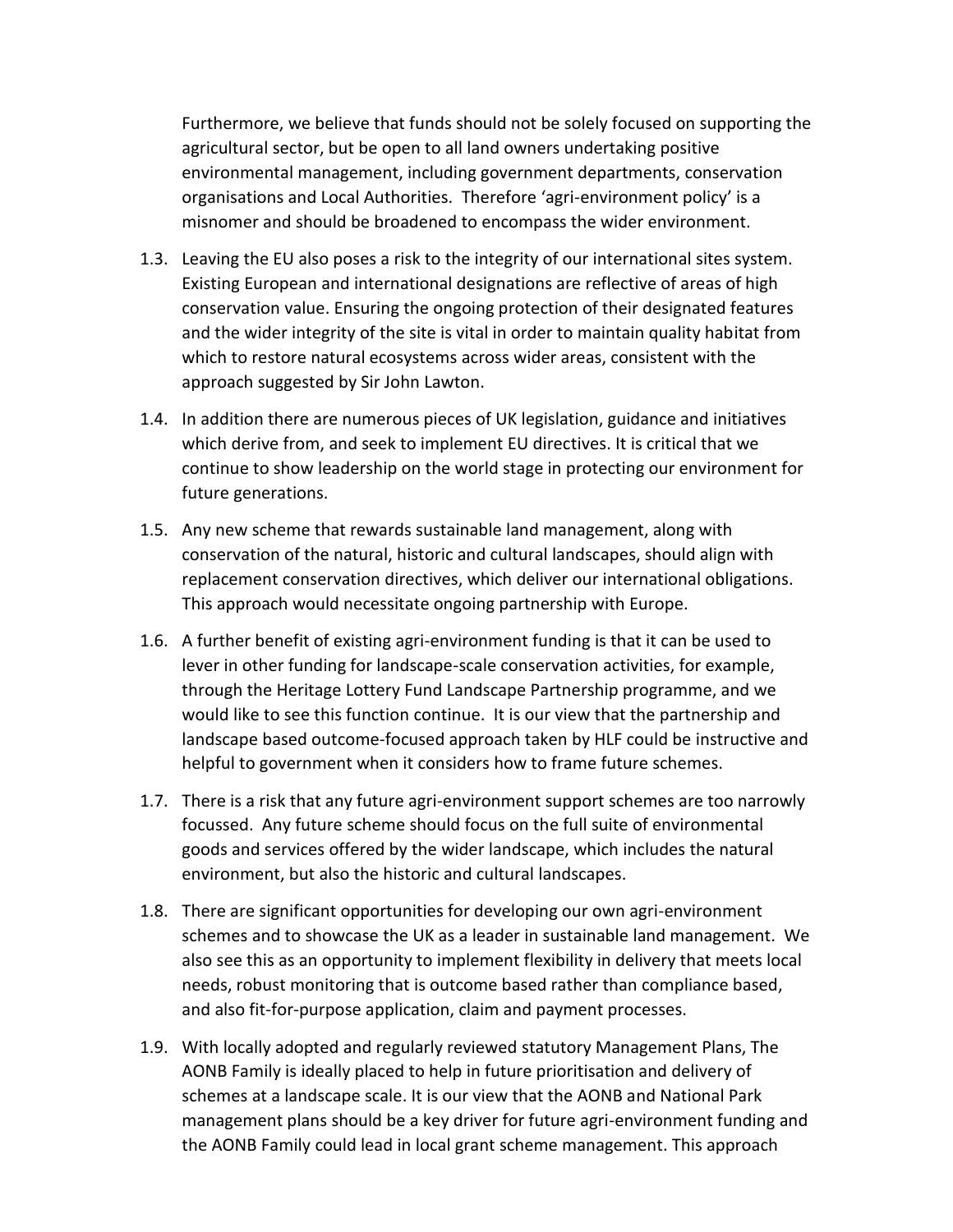Furthermore, we believe that funds should not be solely focused on supporting the agricultural sector, but be open to all land owners undertaking positive environmental management, including government departments, conservation organisations and Local Authorities. Therefore 'agri-environment policy' is a misnomer and should be broadened to encompass the wider environment.

- 1.3. Leaving the EU also poses a risk to the integrity of our international sites system. Existing European and international designations are reflective of areas of high conservation value. Ensuring the ongoing protection of their designated features and the wider integrity of the site is vital in order to maintain quality habitat from which to restore natural ecosystems across wider areas, consistent with the approach suggested by Sir John Lawton.
- 1.4. In addition there are numerous pieces of UK legislation, guidance and initiatives which derive from, and seek to implement EU directives. It is critical that we continue to show leadership on the world stage in protecting our environment for future generations.
- 1.5. Any new scheme that rewards sustainable land management, along with conservation of the natural, historic and cultural landscapes, should align with replacement conservation directives, which deliver our international obligations. This approach would necessitate ongoing partnership with Europe.
- 1.6. A further benefit of existing agri-environment funding is that it can be used to lever in other funding for landscape-scale conservation activities, for example, through the Heritage Lottery Fund Landscape Partnership programme, and we would like to see this function continue. It is our view that the partnership and landscape based outcome-focused approach taken by HLF could be instructive and helpful to government when it considers how to frame future schemes.
- 1.7. There is a risk that any future agri-environment support schemes are too narrowly focussed. Any future scheme should focus on the full suite of environmental goods and services offered by the wider landscape, which includes the natural environment, but also the historic and cultural landscapes.
- 1.8. There are significant opportunities for developing our own agri-environment schemes and to showcase the UK as a leader in sustainable land management. We also see this as an opportunity to implement flexibility in delivery that meets local needs, robust monitoring that is outcome based rather than compliance based, and also fit-for-purpose application, claim and payment processes.
- 1.9. With locally adopted and regularly reviewed statutory Management Plans, The AONB Family is ideally placed to help in future prioritisation and delivery of schemes at a landscape scale. It is our view that the AONB and National Park management plans should be a key driver for future agri-environment funding and the AONB Family could lead in local grant scheme management. This approach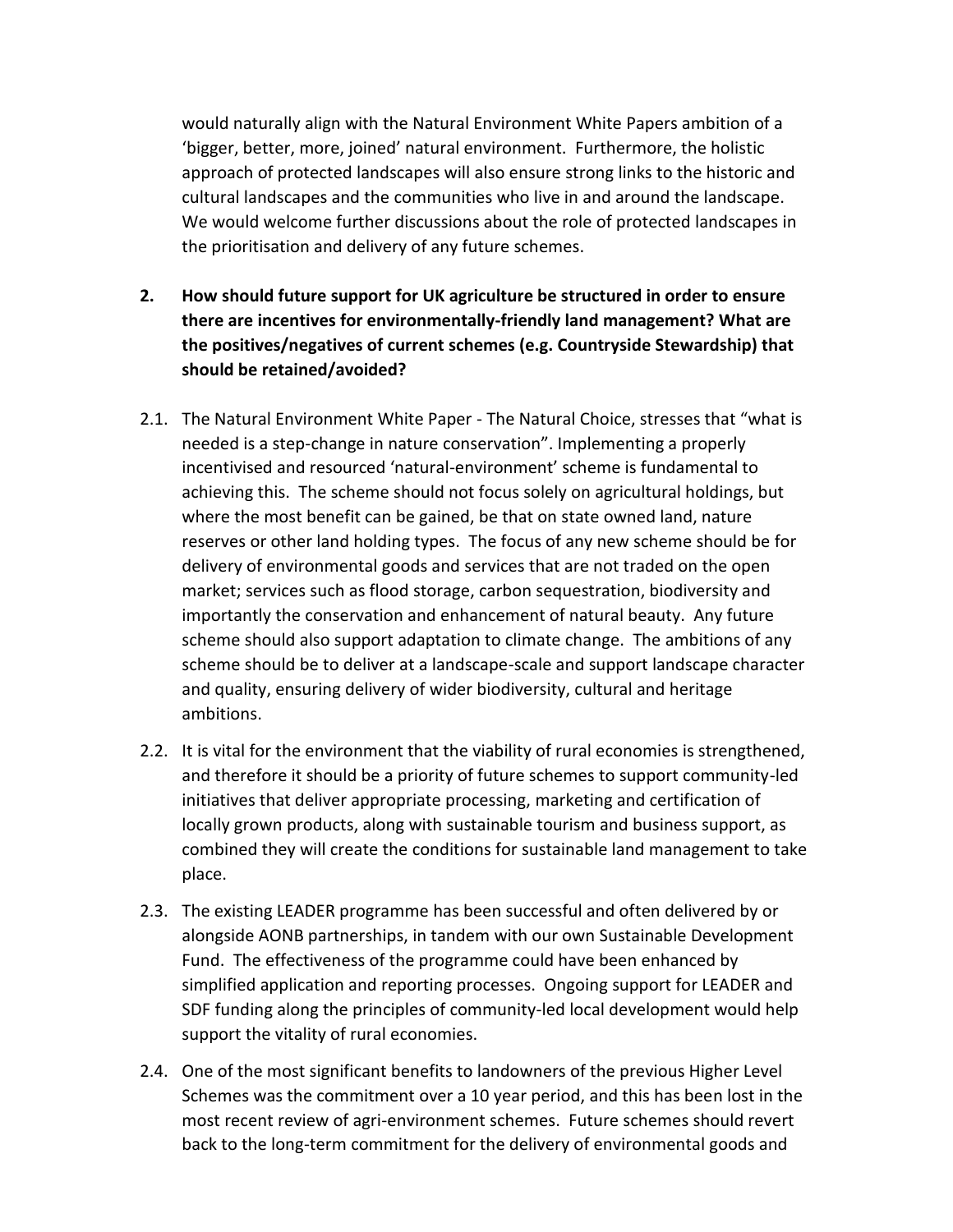would naturally align with the Natural Environment White Papers ambition of a 'bigger, better, more, joined' natural environment. Furthermore, the holistic approach of protected landscapes will also ensure strong links to the historic and cultural landscapes and the communities who live in and around the landscape. We would welcome further discussions about the role of protected landscapes in the prioritisation and delivery of any future schemes.

- **2. How should future support for UK agriculture be structured in order to ensure there are incentives for environmentally-friendly land management? What are the positives/negatives of current schemes (e.g. Countryside Stewardship) that should be retained/avoided?**
- 2.1. The Natural Environment White Paper The Natural Choice, stresses that "what is needed is a step-change in nature conservation". Implementing a properly incentivised and resourced 'natural-environment' scheme is fundamental to achieving this. The scheme should not focus solely on agricultural holdings, but where the most benefit can be gained, be that on state owned land, nature reserves or other land holding types. The focus of any new scheme should be for delivery of environmental goods and services that are not traded on the open market; services such as flood storage, carbon sequestration, biodiversity and importantly the conservation and enhancement of natural beauty. Any future scheme should also support adaptation to climate change. The ambitions of any scheme should be to deliver at a landscape-scale and support landscape character and quality, ensuring delivery of wider biodiversity, cultural and heritage ambitions.
- 2.2. It is vital for the environment that the viability of rural economies is strengthened, and therefore it should be a priority of future schemes to support community-led initiatives that deliver appropriate processing, marketing and certification of locally grown products, along with sustainable tourism and business support, as combined they will create the conditions for sustainable land management to take place.
- 2.3. The existing LEADER programme has been successful and often delivered by or alongside AONB partnerships, in tandem with our own Sustainable Development Fund. The effectiveness of the programme could have been enhanced by simplified application and reporting processes. Ongoing support for LEADER and SDF funding along the principles of community-led local development would help support the vitality of rural economies.
- 2.4. One of the most significant benefits to landowners of the previous Higher Level Schemes was the commitment over a 10 year period, and this has been lost in the most recent review of agri-environment schemes. Future schemes should revert back to the long-term commitment for the delivery of environmental goods and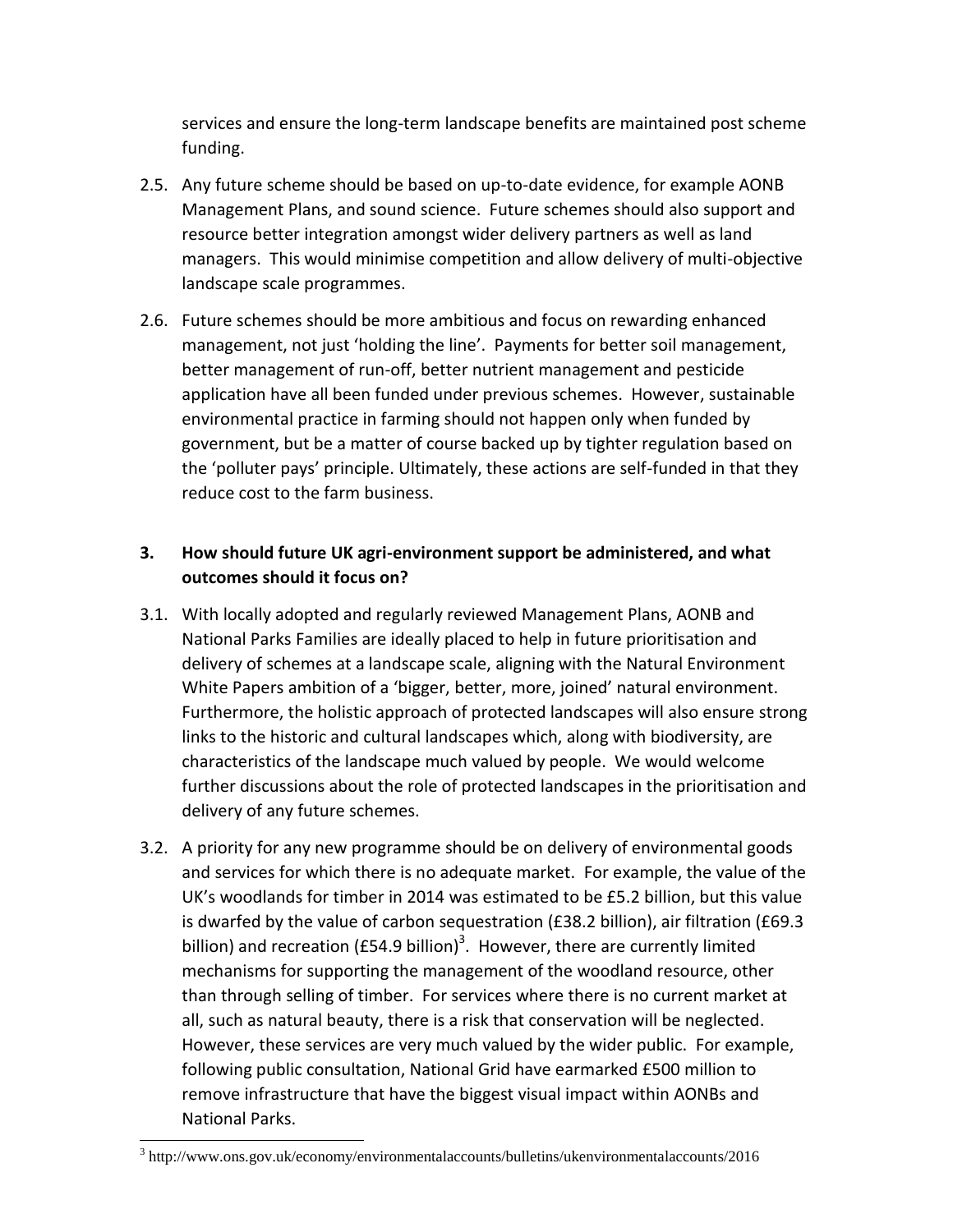services and ensure the long-term landscape benefits are maintained post scheme funding.

- 2.5. Any future scheme should be based on up-to-date evidence, for example AONB Management Plans, and sound science. Future schemes should also support and resource better integration amongst wider delivery partners as well as land managers. This would minimise competition and allow delivery of multi-objective landscape scale programmes.
- 2.6. Future schemes should be more ambitious and focus on rewarding enhanced management, not just 'holding the line'. Payments for better soil management, better management of run-off, better nutrient management and pesticide application have all been funded under previous schemes. However, sustainable environmental practice in farming should not happen only when funded by government, but be a matter of course backed up by tighter regulation based on the 'polluter pays' principle. Ultimately, these actions are self-funded in that they reduce cost to the farm business.

## **3. How should future UK agri-environment support be administered, and what outcomes should it focus on?**

- 3.1. With locally adopted and regularly reviewed Management Plans, AONB and National Parks Families are ideally placed to help in future prioritisation and delivery of schemes at a landscape scale, aligning with the Natural Environment White Papers ambition of a 'bigger, better, more, joined' natural environment. Furthermore, the holistic approach of protected landscapes will also ensure strong links to the historic and cultural landscapes which, along with biodiversity, are characteristics of the landscape much valued by people. We would welcome further discussions about the role of protected landscapes in the prioritisation and delivery of any future schemes.
- 3.2. A priority for any new programme should be on delivery of environmental goods and services for which there is no adequate market. For example, the value of the UK's woodlands for timber in 2014 was estimated to be £5.2 billion, but this value is dwarfed by the value of carbon sequestration (£38.2 billion), air filtration (£69.3 billion) and recreation (£54.9 billion)<sup>3</sup>. However, there are currently limited mechanisms for supporting the management of the woodland resource, other than through selling of timber. For services where there is no current market at all, such as natural beauty, there is a risk that conservation will be neglected. However, these services are very much valued by the wider public. For example, following public consultation, National Grid have earmarked £500 million to remove infrastructure that have the biggest visual impact within AONBs and National Parks.

 3 http://www.ons.gov.uk/economy/environmentalaccounts/bulletins/ukenvironmentalaccounts/2016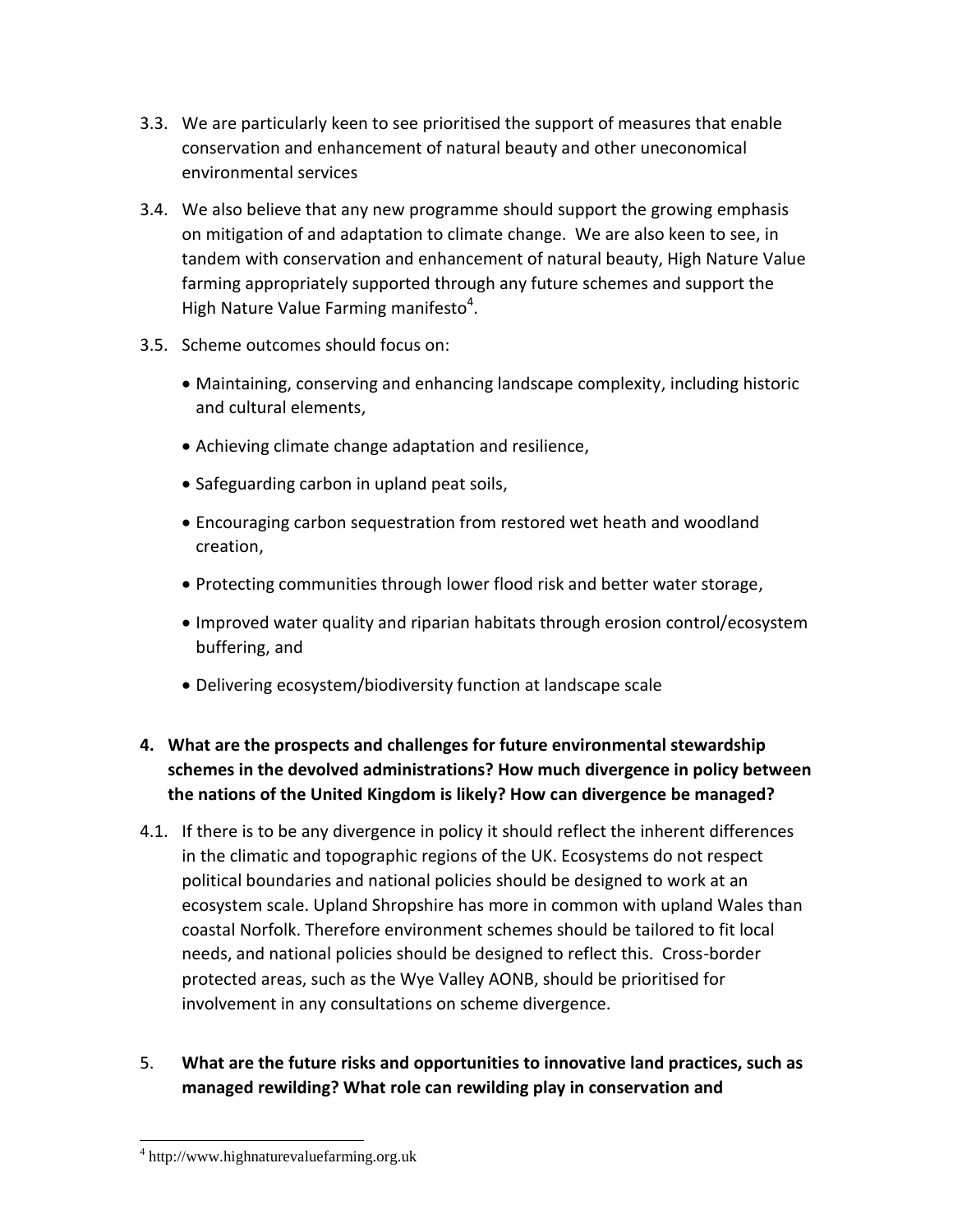- 3.3. We are particularly keen to see prioritised the support of measures that enable conservation and enhancement of natural beauty and other uneconomical environmental services
- 3.4. We also believe that any new programme should support the growing emphasis on mitigation of and adaptation to climate change. We are also keen to see, in tandem with conservation and enhancement of natural beauty, High Nature Value farming appropriately supported through any future schemes and support the High Nature Value Farming manifesto<sup>4</sup>.
- 3.5. Scheme outcomes should focus on:
	- Maintaining, conserving and enhancing landscape complexity, including historic and cultural elements,
	- Achieving climate change adaptation and resilience,
	- Safeguarding carbon in upland peat soils,
	- Encouraging carbon sequestration from restored wet heath and woodland creation,
	- Protecting communities through lower flood risk and better water storage,
	- Improved water quality and riparian habitats through erosion control/ecosystem buffering, and
	- Delivering ecosystem/biodiversity function at landscape scale

## **4. What are the prospects and challenges for future environmental stewardship schemes in the devolved administrations? How much divergence in policy between the nations of the United Kingdom is likely? How can divergence be managed?**

- 4.1. If there is to be any divergence in policy it should reflect the inherent differences in the climatic and topographic regions of the UK. Ecosystems do not respect political boundaries and national policies should be designed to work at an ecosystem scale. Upland Shropshire has more in common with upland Wales than coastal Norfolk. Therefore environment schemes should be tailored to fit local needs, and national policies should be designed to reflect this. Cross-border protected areas, such as the Wye Valley AONB, should be prioritised for involvement in any consultations on scheme divergence.
- 5. **What are the future risks and opportunities to innovative land practices, such as managed rewilding? What role can rewilding play in conservation and**

 4 http://www.highnaturevaluefarming.org.uk